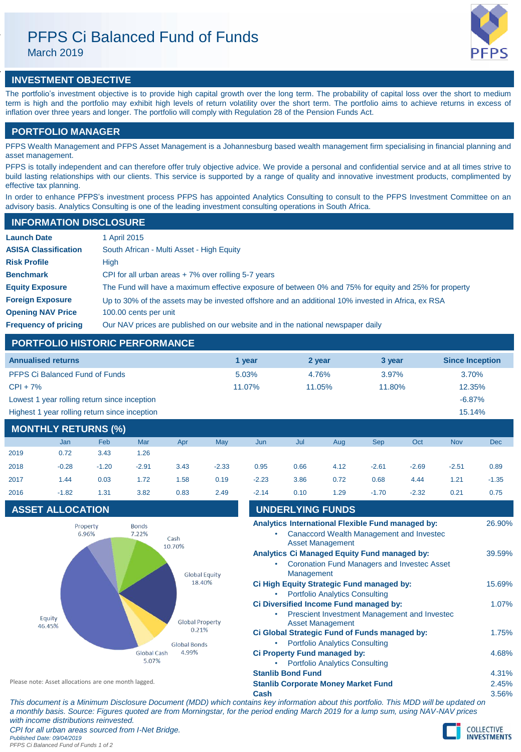# PFPS Ci Balanced Fund of Funds

March 2019



# **INVESTMENT OBJECTIVE**

The portfolio's investment objective is to provide high capital growth over the long term. The probability of capital loss over the short to medium term is high and the portfolio may exhibit high levels of return volatility over the short term. The portfolio aims to achieve returns in excess of inflation over three years and longer. The portfolio will comply with Regulation 28 of the Pension Funds Act.

## **PORTFOLIO MANAGER**

PFPS Wealth Management and PFPS Asset Management is a Johannesburg based wealth management firm specialising in financial planning and asset management.

PFPS is totally independent and can therefore offer truly objective advice. We provide a personal and confidential service and at all times strive to build lasting relationships with our clients. This service is supported by a range of quality and innovative investment products, complimented by effective tax planning.

In order to enhance PFPS's investment process PFPS has appointed Analytics Consulting to consult to the PFPS Investment Committee on an advisory basis. Analytics Consulting is one of the leading investment consulting operations in South Africa.

## **INFORMATION DISCLOSURE**

| <b>Launch Date</b>          | 1 April 2015                                                                                          |
|-----------------------------|-------------------------------------------------------------------------------------------------------|
| <b>ASISA Classification</b> | South African - Multi Asset - High Equity                                                             |
| <b>Risk Profile</b>         | High                                                                                                  |
| <b>Benchmark</b>            | CPI for all urban areas $+7\%$ over rolling 5-7 years                                                 |
| <b>Equity Exposure</b>      | The Fund will have a maximum effective exposure of between 0% and 75% for equity and 25% for property |
| <b>Foreign Exposure</b>     | Up to 30% of the assets may be invested offshore and an additional 10% invested in Africa, ex RSA     |
| <b>Opening NAV Price</b>    | 100.00 cents per unit                                                                                 |
| <b>Frequency of pricing</b> | Our NAV prices are published on our website and in the national newspaper daily                       |

# **PORTFOLIO HISTORIC PERFORMANCE**

| <b>Annualised returns</b>                     | 1 vear | 2 year | 3 year | <b>Since Inception</b> |
|-----------------------------------------------|--------|--------|--------|------------------------|
| <b>PFPS Ci Balanced Fund of Funds</b>         | 5.03%  | 4.76%  | 3.97%  | 3.70%                  |
| $CPI + 7%$                                    | 11.07% | 11.05% | 11.80% | 12.35%                 |
| Lowest 1 year rolling return since inception  |        |        |        | $-6.87%$               |
| Highest 1 year rolling return since inception |        |        |        | 15.14%                 |

# **MONTHLY RETURNS (%)**

|      | <b>Jan</b> | Feb     | Mar     | Apr  | May     | Jun     | Jul  | Aug  | <b>Sep</b> | Oct     | <b>Nov</b> | <b>Dec</b> |
|------|------------|---------|---------|------|---------|---------|------|------|------------|---------|------------|------------|
| 2019 | 0.72       | 3.43    | 1.26    |      |         |         |      |      |            |         |            |            |
| 2018 | $-0.28$    | $-1.20$ | $-2.91$ | 3.43 | $-2.33$ | 0.95    | 0.66 | 4.12 | $-2.61$    | $-2.69$ | $-2.51$    | 0.89       |
| 2017 | 1.44       | 0.03    | 1.72    | 1.58 | 0.19    | $-2.23$ | 3.86 | 0.72 | 0.68       | 4.44    | 1.21       | $-1.35$    |
| 2016 | $-1.82$    | 1.31    | 3.82    | 0.83 | 2.49    | $-2.14$ | 0.10 | 1.29 | $-1.70$    | $-2.32$ | 0.21       | 0.75       |

# **ASSET ALLOCATION**



| 2017                                                 | 1.44                    | 0.03                 | 1.72 | 1.58                         | 0.19 | $-2.23$                                                                                                                  | 3.86                                       | 0.72                                      | 0.68                                                                                                      | 4.44    | 1.21   | $-1.35$ |
|------------------------------------------------------|-------------------------|----------------------|------|------------------------------|------|--------------------------------------------------------------------------------------------------------------------------|--------------------------------------------|-------------------------------------------|-----------------------------------------------------------------------------------------------------------|---------|--------|---------|
| 2016                                                 | $-1.82$                 | 1.31                 | 3.82 | 0.83                         | 2.49 | $-2.14$                                                                                                                  | 0.10                                       | 1.29                                      | $-1.70$                                                                                                   | $-2.32$ | 0.21   | 0.75    |
|                                                      | <b>ASSET ALLOCATION</b> |                      |      |                              |      |                                                                                                                          | <b>UNDERLYING FUNDS</b>                    |                                           |                                                                                                           |         |        |         |
| <b>Bonds</b><br>Property<br>6.96%<br>7.22%<br>Cash   |                         |                      |      |                              |      | Analytics International Flexible Fund managed by:<br>Canaccord Wealth Management and Invested<br><b>Asset Management</b> |                                            |                                           |                                                                                                           |         |        | 26.90%  |
| 10.70%<br><b>Global Equity</b>                       |                         |                      |      |                              |      | ٠                                                                                                                        | Management                                 |                                           | <b>Analytics Ci Managed Equity Fund managed by:</b><br><b>Coronation Fund Managers and Invested Asset</b> |         |        | 39.59%  |
|                                                      |                         |                      |      | 18.40%                       | ٠    |                                                                                                                          | <b>Portfolio Analytics Consulting</b>      | Ci High Equity Strategic Fund managed by: |                                                                                                           |         | 15.69% |         |
|                                                      | Equity<br>46.45%        |                      |      | <b>Global Property</b>       |      |                                                                                                                          |                                            | <b>Asset Management</b>                   | Ci Diversified Income Fund managed by:<br>Prescient Investment Management and Invested                    |         |        | 1.07%   |
|                                                      |                         |                      |      | 0.21%<br><b>Global Bonds</b> |      | ٠                                                                                                                        |                                            | <b>Portfolio Analytics Consulting</b>     | Ci Global Strategic Fund of Funds managed by:                                                             |         |        | 1.75%   |
|                                                      |                         | Global Cash<br>5.07% |      | 4.99%                        |      | Ci Property Fund managed by:<br><b>Portfolio Analytics Consulting</b><br>٠                                               |                                            |                                           |                                                                                                           |         |        | 4.68%   |
|                                                      |                         |                      |      |                              |      |                                                                                                                          | <b>Stanlib Bond Fund</b>                   |                                           |                                                                                                           |         |        | 4.31%   |
| Please note: Asset allocations are one month lagged. |                         |                      |      |                              |      |                                                                                                                          | <b>Stanlib Corporate Money Market Fund</b> |                                           |                                                                                                           |         |        | 2.45%   |

**Cash** 3.56%

*This document is a Minimum Disclosure Document (MDD) which contains key information about this portfolio. This MDD will be updated on a monthly basis. Source: Figures quoted are from Morningstar, for the period ending March 2019 for a lump sum, using NAV-NAV prices with income distributions reinvested. CPI for all urban areas sourced from I-Net Bridge. Published Date: 09/04/2019 PFPS Ci Balanced Fund of Funds 1 of 2*